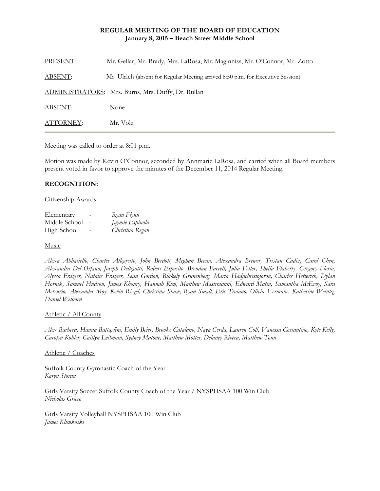# **REGULAR MEETING OF THE BOARD OF EDUCATION January 8, 2015 – Beach Street Middle School**

| PRESENT:       | Mr. Gellar, Mr. Brady, Mrs. LaRosa, Mr. Maginniss, Mr. O'Connor, Mr. Zotto      |
|----------------|---------------------------------------------------------------------------------|
| <b>ABSENT:</b> | Mr. Ulrich (absent for Regular Meeting arrived 8:50 p.m. for Executive Session) |
|                | ADMINISTRATORS: Mrs. Burns, Mrs. Duffy, Dr. Rullan                              |
| ABSENT:        | None                                                                            |
| ATTORNEY:      | Mr. Volz                                                                        |

Meeting was called to order at 8:01 p.m.

Motion was made by Kevin O'Connor, seconded by Annmarie LaRosa, and carried when all Board members present voted in favor to approve the minutes of the December 11, 2014 Regular Meeting.

# **RECOGNITION:**

#### Citizenship Awards

| Elementary    | - | Ryan Flynn      |
|---------------|---|-----------------|
| Middle School |   | Jaymie Espinola |
| High School   |   | Christina Regan |

### Music

*Alexa Abbatiello, Charles Allegretto, John Berdolt, Meghan Bevan, Alexandra Brewer, Tristan Cadiz, Carol Chen, Alexandra Del Orfano, Joseph Delligatti, Robert Esposito, Brendan Farrell, Julia Fetter, Sheila Flaherty, Gregory Florio, Alyssa Frazier, Natalie Frazier, Sean Gordon, Blakely Grunenberg, Maria Hadjichristoforou, Charles Hetterich, Dylan Hornik, Samuel Hudson, James Khoury, Hannah Kim, Matthew Mastroianni, Edward Matin, Samantha McEvoy, Sara Mercurio, Alexander Moy, Kevin Riegel, Christina Shaw, Ryan Small, Eric Troiano, Olivia Vermane, Katherine Weintz, Daniel Welborn* 

# Athletic / All County

*Alex Barbera, Hanna Battaglini, Emily Beier, Brooke Catalano, Naya Cerda, Lauren Coll, Vanessa Costantino, Kyle Kelly, Carolyn Kobler, Caitlyn Leibman, Sydney Matone, Matthew Mottes, Delaney Rivera, Matthew Tonn* 

#### Athletic / Coaches

Suffolk County Gymnastic Coach of the Year *Karyn Storan* 

Girls Varsity Soccer Suffolk County Coach of the Year / NYSPHSAA 100 Win Club *Nicholas Grieco* 

Girls Varsity Volleyball NYSPHSAA 100 Win Club *James Klimkoski*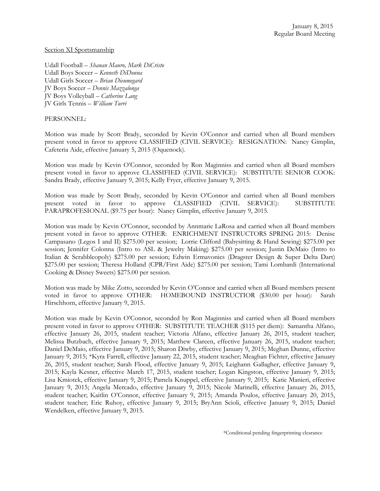#### Section XI Sportsmanship

Udall Football – *Shanan Mauro, Mark DiCristo* Udall Boys Soccer – *Kenneth DiDonna* Udall Girls Soccer – *Brian Dieumegard* JV Boys Soccer – *Dennis Mazzalonga* JV Boys Volleyball – *Catherine Lang* JV Girls Tennis – *William Turri* 

### PERSONNEL:

Motion was made by Scott Brady, seconded by Kevin O'Connor and carried when all Board members present voted in favor to approve CLASSIFIED (CIVIL SERVICE): RESIGNATION: Nancy Gimplin, Cafeteria Aide, effective January 5, 2015 (Oquenock).

Motion was made by Kevin O'Connor, seconded by Ron Maginniss and carried when all Board members present voted in favor to approve CLASSIFIED (CIVIL SERVICE): SUBSTITUTE SENIOR COOK: Sandra Brady, effective January 9, 2015; Kelly Fryer, effective January 9, 2015.

Motion was made by Scott Brady, seconded by Kevin O'Connor and carried when all Board members present voted in favor to approve CLASSIFIED (CIVIL SERVICE): SUBSTITUTE PARAPROFESIONAL (\$9.75 per hour): Nancy Gimplin, effective January 9, 2015.

Motion was made by Kevin O'Connor, seconded by Annmarie LaRosa and carried when all Board members present voted in favor to approve OTHER: ENRICHMENT INSTRUCTORS SPRING 2015: Denise Campasano (Legos I and II) \$275.00 per session; Lorrie Clifford (Babysitting & Hand Sewing) \$275.00 per session; Jennifer Colonna (Intro to ASL & Jewelry Making) \$275.00 per session; Justin DeMaio (Intro to Italian & Scrabbleopoly) \$275.00 per session; Edwin Ermavonics (Dragster Design & Super Delta Dart) \$275.00 per session; Theresa Holland (CPR/First Aide) \$275.00 per session; Tami Lombardi (International Cooking & Disney Sweets) \$275.00 per session.

Motion was made by Mike Zotto, seconded by Kevin O'Connor and carried when all Board members present voted in favor to approve OTHER: HOMEBOUND INSTRUCTIOR (\$30.00 per hour): Sarah Hirschhorn, effective January 9, 2015.

Motion was made by Kevin O'Connor, seconded by Ron Maginniss and carried when all Board members present voted in favor to approve OTHER: SUBSTITUTE TEACHER (\$115 per diem): Samantha Alfano, effective January 26, 2015, student teacher; Victoria Alfano, effective January 26, 2015, student teacher; Melissa Butzbach, effective January 9, 2015; Matthew Clareen, effective January 26, 2015, student teacher; Daniel DeMaio, effective January 9, 2015; Sharon Diwby, effective January 9, 2015; Meghan Dunne, effective January 9, 2015; \*Kyra Farrell, effective January 22, 2015, student teacher; Meaghan Fichter, effective January 26, 2015, student teacher; Sarah Flood, effective January 9, 2015; Leighann Gallagher, effective January 9, 2015; Kayla Kesner, effective March 17, 2015, student teacher; Logan Kingston, effective January 9, 2015; Lisa Kmiotek, effective January 9, 2015; Pamela Knuppel, effective January 9, 2015; Katie Manieri, effective January 9, 2015; Angela Mercado, effective January 9, 2015; Nicole Marinelli, effective January 26, 2015, student teacher; Kaitlin O'Connor, effective January 9, 2015; Amanda Poulos, effective January 20, 2015, student teacher; Eric Ruhoy, effective January 9, 2015; BryAnn Scioli, effective January 9, 2015; Daniel Wendelken, effective January 9, 2015.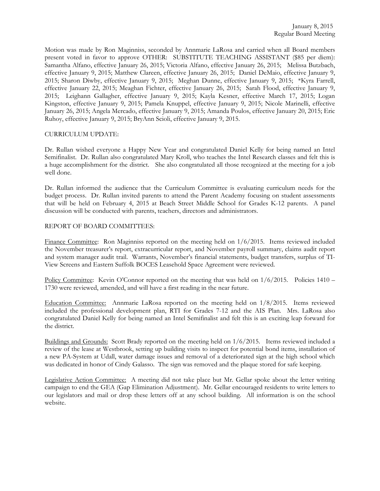Motion was made by Ron Maginniss, seconded by Annmarie LaRosa and carried when all Board members present voted in favor to approve OTHER: SUBSTITUTE TEACHING ASSISTANT (\$85 per diem): Samantha Alfano, effective January 26, 2015; Victoria Alfano, effective January 26, 2015; Melissa Butzbach, effective January 9, 2015; Matthew Clareen, effective January 26, 2015; Daniel DeMaio, effective January 9, 2015; Sharon Diwby, effective January 9, 2015; Meghan Dunne, effective January 9, 2015; \*Kyra Farrell, effective January 22, 2015; Meaghan Fichter, effective January 26, 2015; Sarah Flood, effective January 9, 2015; Leighann Gallagher, effective January 9, 2015; Kayla Kesner, effective March 17, 2015; Logan Kingston, effective January 9, 2015; Pamela Knuppel, effective January 9, 2015; Nicole Marinelli, effective January 26, 2015; Angela Mercado, effective January 9, 2015; Amanda Poulos, effective January 20, 2015; Eric Ruhoy, effective January 9, 2015; BryAnn Scioli, effective January 9, 2015.

# CURRICULUM UPDATE:

Dr. Rullan wished everyone a Happy New Year and congratulated Daniel Kelly for being named an Intel Semifinalist. Dr. Rullan also congratulated Mary Kroll, who teaches the Intel Research classes and felt this is a huge accomplishment for the district. She also congratulated all those recognized at the meeting for a job well done.

Dr. Rullan informed the audience that the Curriculum Committee is evaluating curriculum needs for the budget process. Dr. Rullan invited parents to attend the Parent Academy focusing on student assessments that will be held on February 4, 2015 at Beach Street Middle School for Grades K-12 parents. A panel discussion will be conducted with parents, teachers, directors and administrators.

# REPORT OF BOARD COMMITTEES:

Finance Committee: Ron Maginniss reported on the meeting held on 1/6/2015. Items reviewed included the November treasurer's report, extracurricular report, and November payroll summary, claims audit report and system manager audit trail. Warrants, November's financial statements, budget transfers, surplus of TI-View Screens and Eastern Suffolk BOCES Leasehold Space Agreement were reviewed.

Policy Committee: Kevin O'Connor reported on the meeting that was held on  $1/6/2015$ . Policies 1410 – 1730 were reviewed, amended, and will have a first reading in the near future.

Education Committee: Annmarie LaRosa reported on the meeting held on 1/8/2015. Items reviewed included the professional development plan, RTI for Grades 7-12 and the AIS Plan. Mrs. LaRosa also congratulated Daniel Kelly for being named an Intel Semifinalist and felt this is an exciting leap forward for the district.

Buildings and Grounds: Scott Brady reported on the meeting held on 1/6/2015. Items reviewed included a review of the lease at Westbrook, setting up building visits to inspect for potential bond items, installation of a new PA-System at Udall, water damage issues and removal of a deteriorated sign at the high school which was dedicated in honor of Cindy Galasso. The sign was removed and the plaque stored for safe keeping.

Legislative Action Committee: A meeting did not take place but Mr. Gellar spoke about the letter writing campaign to end the GEA (Gap Elimination Adjustment). Mr. Gellar encouraged residents to write letters to our legislators and mail or drop these letters off at any school building. All information is on the school website.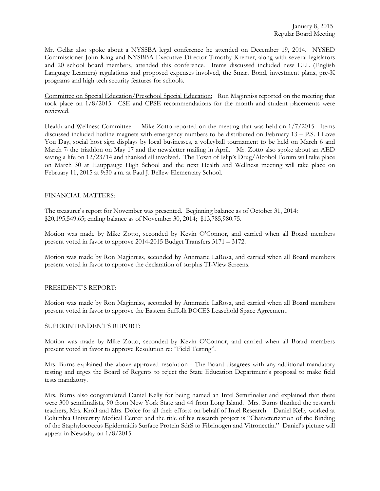Mr. Gellar also spoke about a NYSSBA legal conference he attended on December 19, 2014. NYSED Commissioner John King and NYSBBA Executive Director Timothy Kremer, along with several legislators and 20 school board members, attended this conference. Items discussed included new ELL (English Language Learners) regulations and proposed expenses involved, the Smart Bond, investment plans, pre-K programs and high tech security features for schools.

Committee on Special Education/Preschool Special Education: Ron Maginniss reported on the meeting that took place on 1/8/2015. CSE and CPSE recommendations for the month and student placements were reviewed.

Health and Wellness Committee: Mike Zotto reported on the meeting that was held on 1/7/2015. Items discussed included hotline magnets with emergency numbers to be distributed on February 13 – P.S. I Love You Day, social host sign displays by local businesses, a volleyball tournament to be held on March 6 and March 7 the triathlon on May 17 and the newsletter mailing in April. Mr. Zotto also spoke about an AED saving a life on 12/23/14 and thanked all involved. The Town of Islip's Drug/Alcohol Forum will take place on March 30 at Hauppauge High School and the next Health and Wellness meeting will take place on February 11, 2015 at 9:30 a.m. at Paul J. Bellew Elementary School.

# FINANCIAL MATTERS:

The treasurer's report for November was presented. Beginning balance as of October 31, 2014: \$20,195,549.65; ending balance as of November 30, 2014; \$13,785,980.75.

Motion was made by Mike Zotto, seconded by Kevin O'Connor, and carried when all Board members present voted in favor to approve 2014-2015 Budget Transfers 3171 – 3172.

Motion was made by Ron Maginniss, seconded by Annmarie LaRosa, and carried when all Board members present voted in favor to approve the declaration of surplus TI-View Screens.

# PRESIDENT'S REPORT:

Motion was made by Ron Maginniss, seconded by Annmarie LaRosa, and carried when all Board members present voted in favor to approve the Eastern Suffolk BOCES Leasehold Space Agreement.

# SUPERINTENDENT'S REPORT:

Motion was made by Mike Zotto, seconded by Kevin O'Connor, and carried when all Board members present voted in favor to approve Resolution re: "Field Testing".

Mrs. Burns explained the above approved resolution - The Board disagrees with any additional mandatory testing and urges the Board of Regents to reject the State Education Department's proposal to make field tests mandatory.

Mrs. Burns also congratulated Daniel Kelly for being named an Intel Semifinalist and explained that there were 300 semifinalists, 90 from New York State and 44 from Long Island. Mrs. Burns thanked the research teachers, Mrs. Kroll and Mrs. Dolce for all their efforts on behalf of Intel Research. Daniel Kelly worked at Columbia University Medical Center and the title of his research project is "Characterization of the Binding of the Staphylococcus Epidermidis Surface Protein SdrS to Fibrinogen and Vitronectin." Daniel's picture will appear in Newsday on 1/8/2015.